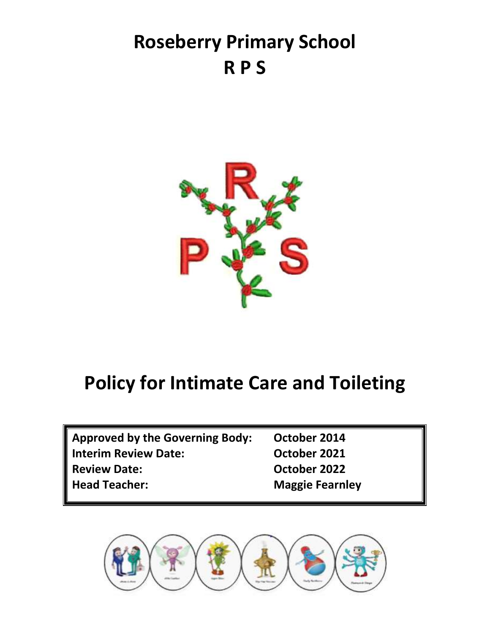# **Roseberry Primary School R P S**



## **Policy for Intimate Care and Toileting**

| <b>Approved by the Governing Body:</b> | October 2014           |
|----------------------------------------|------------------------|
| <b>Interim Review Date:</b>            | October 2021           |
| <b>Review Date:</b>                    | October 2022           |
| <b>Head Teacher:</b>                   | <b>Maggie Fearnley</b> |

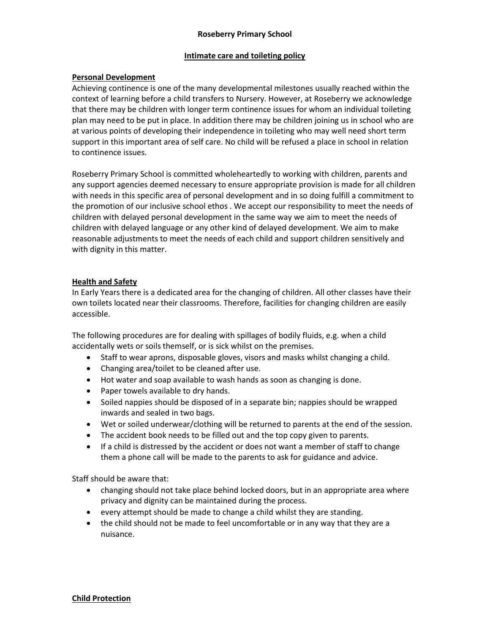## **Roseberry Primary School**

## **Intimate care and toileting policy**

## **Personal Development**

Achieving continence is one of the many developmental milestones usually reached within the context of learning before a child transfers to Nursery. However, at Roseberry we acknowledge that there may be children with longer term continence issues for whom an individual toileting plan may need to be put in place. In addition there may be children joining us in school who are at various points of developing their independence in toileting who may well need short term support in this important area of self care. No child will be refused a place in school in relation to continence issues.

Roseberry Primary School is committed wholeheartedly to working with children, parents and any support agencies deemed necessary to ensure appropriate provision is made for all children with needs in this specific area of personal development and in so doing fulfill a commitment to the promotion of our inclusive school ethos . We accept our responsibility to meet the needs of children with delayed personal development in the same way we aim to meet the needs of children with delayed language or any other kind of delayed development. We aim to make reasonable adjustments to meet the needs of each child and support children sensitively and with dignity in this matter.

## **Health and Safety**

In Early Years there is a dedicated area for the changing of children. All other classes have their own toilets located near their classrooms. Therefore, facilities for changing children are easily accessible.

The following procedures are for dealing with spillages of bodily fluids, e.g. when a child accidentally wets or soils themself, or is sick whilst on the premises.

- Staff to wear aprons, disposable gloves, visors and masks whilst changing a child.
- Changing area/toilet to be cleaned after use.
- Hot water and soap available to wash hands as soon as changing is done.
- Paper towels available to dry hands.
- Soiled nappies should be disposed of in a separate bin; nappies should be wrapped inwards and sealed in two bags.
- Wet or soiled underwear/clothing will be returned to parents at the end of the session.
- The accident book needs to be filled out and the top copy given to parents.
- If a child is distressed by the accident or does not want a member of staff to change them a phone call will be made to the parents to ask for guidance and advice.

Staff should be aware that:

- changing should not take place behind locked doors, but in an appropriate area where privacy and dignity can be maintained during the process.
- every attempt should be made to change a child whilst they are standing.
- the child should not be made to feel uncomfortable or in any way that they are a nuisance.

## **Child Protection**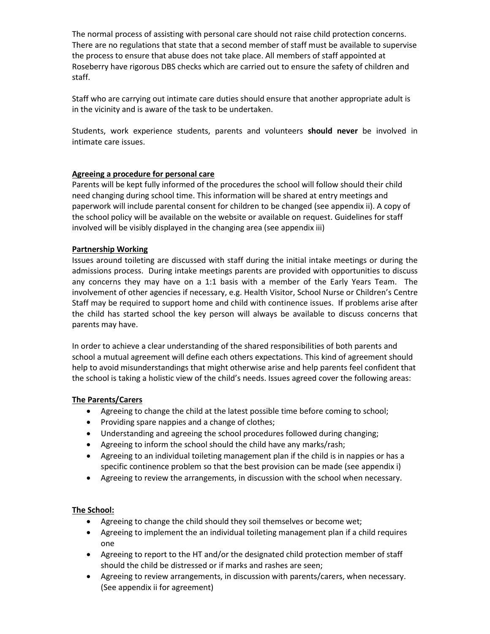The normal process of assisting with personal care should not raise child protection concerns. There are no regulations that state that a second member of staff must be available to supervise the process to ensure that abuse does not take place. All members of staff appointed at Roseberry have rigorous DBS checks which are carried out to ensure the safety of children and staff.

Staff who are carrying out intimate care duties should ensure that another appropriate adult is in the vicinity and is aware of the task to be undertaken.

Students, work experience students, parents and volunteers **should never** be involved in intimate care issues.

## **Agreeing a procedure for personal care**

Parents will be kept fully informed of the procedures the school will follow should their child need changing during school time. This information will be shared at entry meetings and paperwork will include parental consent for children to be changed (see appendix ii). A copy of the school policy will be available on the website or available on request. Guidelines for staff involved will be visibly displayed in the changing area (see appendix iii)

## **Partnership Working**

Issues around toileting are discussed with staff during the initial intake meetings or during the admissions process. During intake meetings parents are provided with opportunities to discuss any concerns they may have on a 1:1 basis with a member of the Early Years Team. The involvement of other agencies if necessary, e.g. Health Visitor, School Nurse or Children's Centre Staff may be required to support home and child with continence issues. If problems arise after the child has started school the key person will always be available to discuss concerns that parents may have.

In order to achieve a clear understanding of the shared responsibilities of both parents and school a mutual agreement will define each others expectations. This kind of agreement should help to avoid misunderstandings that might otherwise arise and help parents feel confident that the school is taking a holistic view of the child's needs. Issues agreed cover the following areas:

## **The Parents/Carers**

- Agreeing to change the child at the latest possible time before coming to school;
- Providing spare nappies and a change of clothes;
- Understanding and agreeing the school procedures followed during changing;
- Agreeing to inform the school should the child have any marks/rash;
- Agreeing to an individual toileting management plan if the child is in nappies or has a specific continence problem so that the best provision can be made (see appendix i)
- Agreeing to review the arrangements, in discussion with the school when necessary.

## **The School:**

- Agreeing to change the child should they soil themselves or become wet;
- Agreeing to implement the an individual toileting management plan if a child requires one
- Agreeing to report to the HT and/or the designated child protection member of staff should the child be distressed or if marks and rashes are seen;
- Agreeing to review arrangements, in discussion with parents/carers, when necessary. (See appendix ii for agreement)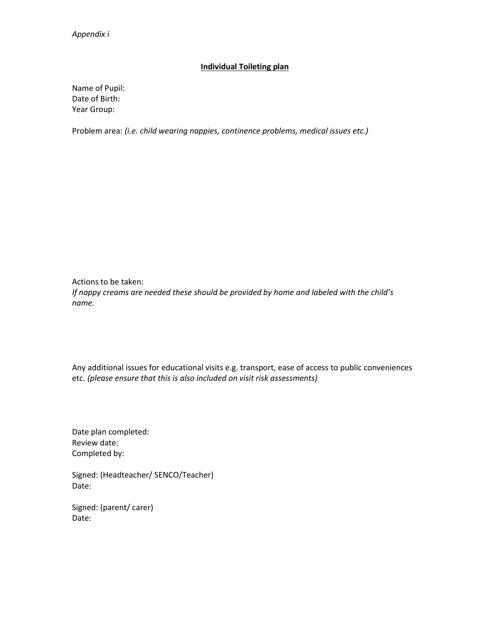## **Individual Toileting plan**

Name of Pupil: Date of Birth: Year Group:

Problem area: *(i.e. child wearing nappies, continence problems, medical issues etc.)*

Actions to be taken: *If nappy creams are needed these should be provided by home and labeled with the child's name.* 

Any additional issues for educational visits e.g. transport, ease of access to public conveniences etc. *(please ensure that this is also included on visit risk assessments)*

Date plan completed: Review date: Completed by:

Signed: (Headteacher/ SENCO/Teacher) Date:

Signed: (parent/ carer) Date: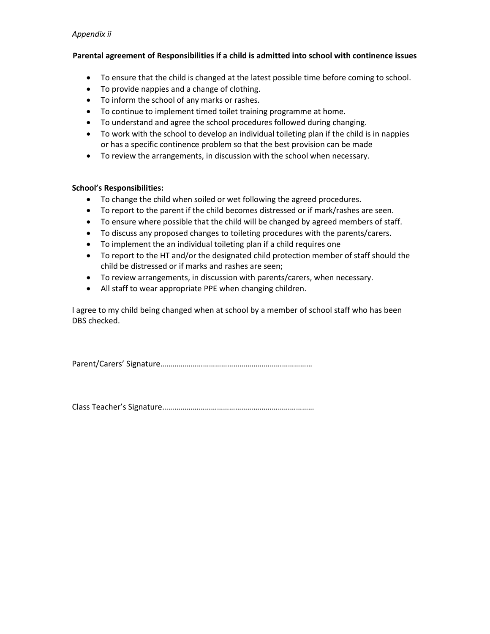## *Appendix ii*

## **Parental agreement of Responsibilities if a child is admitted into school with continence issues**

- To ensure that the child is changed at the latest possible time before coming to school.
- To provide nappies and a change of clothing.
- To inform the school of any marks or rashes.
- To continue to implement timed toilet training programme at home.
- To understand and agree the school procedures followed during changing.
- To work with the school to develop an individual toileting plan if the child is in nappies or has a specific continence problem so that the best provision can be made
- To review the arrangements, in discussion with the school when necessary.

#### **School's Responsibilities:**

- To change the child when soiled or wet following the agreed procedures.
- To report to the parent if the child becomes distressed or if mark/rashes are seen.
- To ensure where possible that the child will be changed by agreed members of staff.
- To discuss any proposed changes to toileting procedures with the parents/carers.
- To implement the an individual toileting plan if a child requires one
- To report to the HT and/or the designated child protection member of staff should the child be distressed or if marks and rashes are seen;
- To review arrangements, in discussion with parents/carers, when necessary.
- All staff to wear appropriate PPE when changing children.

I agree to my child being changed when at school by a member of school staff who has been DBS checked.

Parent/Carers' Signature…………………………………………………………………

Class Teacher's Signature…………………………………………………………………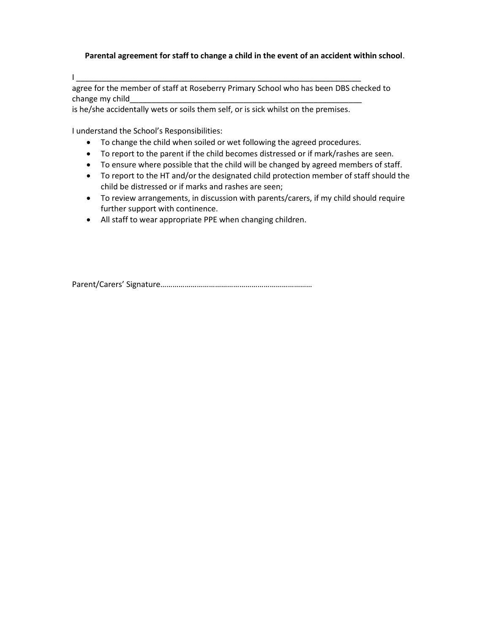**Parental agreement for staff to change a child in the event of an accident within school**.

I \_\_\_\_\_\_\_\_\_\_\_\_\_\_\_\_\_\_\_\_\_\_\_\_\_\_\_\_\_\_\_\_\_\_\_\_\_\_\_\_\_\_\_\_\_\_\_\_\_\_\_\_\_\_\_\_\_\_\_\_\_\_\_\_\_

agree for the member of staff at Roseberry Primary School who has been DBS checked to change my child

is he/she accidentally wets or soils them self, or is sick whilst on the premises.

I understand the School's Responsibilities:

- To change the child when soiled or wet following the agreed procedures.
- To report to the parent if the child becomes distressed or if mark/rashes are seen.
- To ensure where possible that the child will be changed by agreed members of staff.
- To report to the HT and/or the designated child protection member of staff should the child be distressed or if marks and rashes are seen;
- To review arrangements, in discussion with parents/carers, if my child should require further support with continence.
- All staff to wear appropriate PPE when changing children.

Parent/Carers' Signature…………………………………………………………………